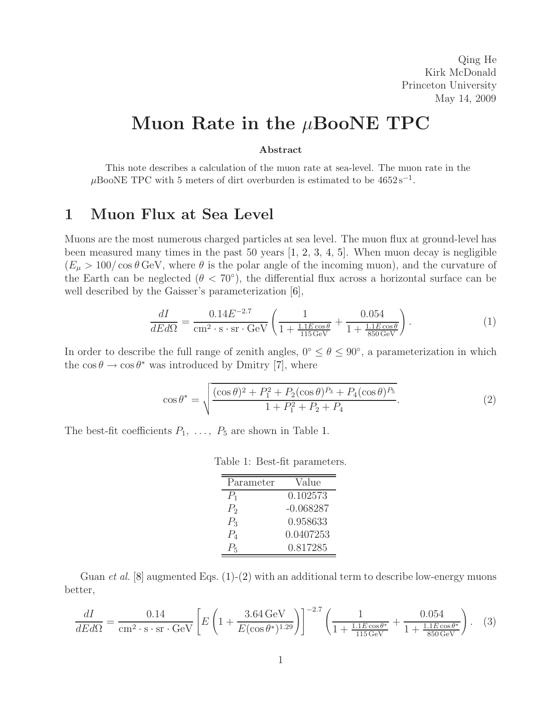Qing He Kirk McDonald Princeton University May 14, 2009

# **Muon Rate in the** μ**BooNE TPC**

#### **Abstract**

This note describes a calculation of the muon rate at sea-level. The muon rate in the  $\mu$ BooNE TPC with 5 meters of dirt overburden is estimated to be  $4652 s^{-1}$ .

# **1 Muon Flux at Sea Level**

Muons are the most numerous charged particles at sea level. The muon flux at ground-level has been measured many times in the past 50 years [\[1,](#page-4-0) [2,](#page-4-1) [3,](#page-4-2) [4,](#page-4-3) [5\]](#page-4-4). When muon decay is negligible  $(E_{\mu} > 100/\cos\theta \,\text{GeV}$ , where  $\theta$  is the polar angle of the incoming muon), and the curvature of the Earth can be neglected ( $\theta < 70^{\circ}$ ), the differential flux across a horizontal surface can be well described by the Gaisser's parameterization [\[6\]](#page-4-5),

$$
\frac{dI}{dEd\Omega} = \frac{0.14E^{-2.7}}{\text{cm}^2 \cdot \text{s} \cdot \text{sr} \cdot \text{GeV}} \left( \frac{1}{1 + \frac{1.1E\cos\theta}{115\,\text{GeV}}} + \frac{0.054}{1 + \frac{1.1E\cos\theta}{850\,\text{GeV}}} \right). \tag{1}
$$

<span id="page-0-1"></span>In order to describe the full range of zenith angles,  $0° \le \theta \le 90°$ , a parameterization in which the  $\cos \theta \to \cos \theta^*$  was introduced by Dmitry [\[7\]](#page-4-6), where

$$
\cos \theta^* = \sqrt{\frac{(\cos \theta)^2 + P_1^2 + P_2(\cos \theta)^{P_3} + P_4(\cos \theta)^{P_5}}{1 + P_1^2 + P_2 + P_4}}.
$$
\n(2)

<span id="page-0-2"></span>The best-fit coefficients  $P_1, \ldots, P_5$  are shown in Table [1.](#page-0-0)

<span id="page-0-0"></span>

|  |  |  | Table 1: Best-fit parameters. |
|--|--|--|-------------------------------|
|--|--|--|-------------------------------|

| Parameter      | Value       |
|----------------|-------------|
| $P_1$          | 0.102573    |
| P <sub>2</sub> | $-0.068287$ |
| $P_3$          | 0.958633    |
| $P_4$          | 0.0407253   |
| $P_{\rm 5}$    | 0.817285    |

Guan *et al.* [\[8\]](#page-4-7) augmented Eqs. [\(1\)](#page-0-1)-[\(2\)](#page-0-2) with an additional term to describe low-energy muons better,

<span id="page-0-3"></span>
$$
\frac{dI}{dEd\Omega} = \frac{0.14}{\text{cm}^2 \cdot \text{s} \cdot \text{sr} \cdot \text{GeV}} \left[ E \left( 1 + \frac{3.64 \text{ GeV}}{E(\cos \theta^*)^{1.29}} \right) \right]^{-2.7} \left( \frac{1}{1 + \frac{1.1 E \cos \theta^*}{115 \text{ GeV}}} + \frac{0.054}{1 + \frac{1.1 E \cos \theta^*}{850 \text{ GeV}}} \right). \tag{3}
$$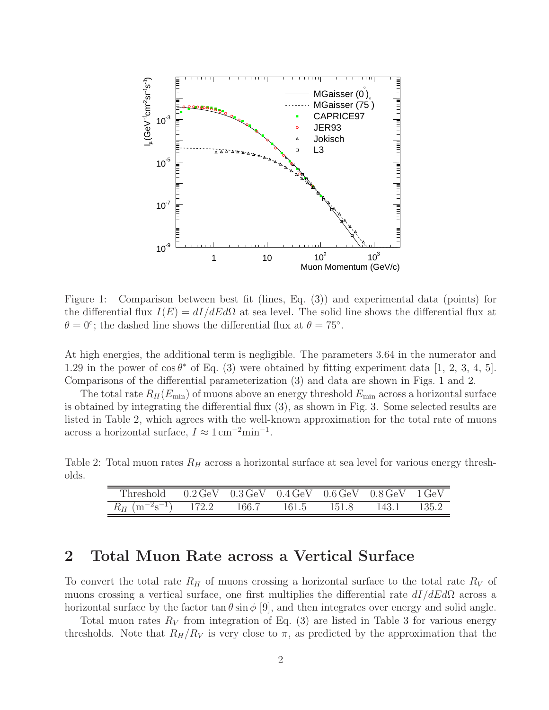

<span id="page-1-0"></span>Figure 1: Comparison between best fit (lines, Eq. [\(3\)](#page-0-3)) and experimental data (points) for the differential flux  $I(E) = dI/dE d\Omega$  at sea level. The solid line shows the differential flux at  $\theta = 0$ °; the dashed line shows the differential flux at  $\theta = 75$ °.

At high energies, the additional term is negligible. The parameters 3.64 in the numerator and 1.29 in the power of  $\cos \theta^*$  of Eq. [\(3\)](#page-0-3) were obtained by fitting experiment data [\[1,](#page-4-0) [2,](#page-4-1) [3,](#page-4-2) [4,](#page-4-3) [5\]](#page-4-4). Comparisons of the differential parameterization [\(3\)](#page-0-3) and data are shown in Figs. [1](#page-1-0) and [2.](#page-2-0)

The total rate  $R_H(E_{\text{min}})$  of muons above an energy threshold  $E_{\text{min}}$  across a horizontal surface is obtained by integrating the differential flux [\(3\)](#page-0-3), as shown in Fig. [3.](#page-3-0) Some selected results are listed in Table [2,](#page-1-1) which agrees with the well-known approximation for the total rate of muons across a horizontal surface,  $I \approx 1 \,\mathrm{cm}^{-2} \mathrm{min}^{-1}$ .

<span id="page-1-1"></span>Table 2: Total muon rates  $R_H$  across a horizontal surface at sea level for various energy thresholds.

| Threshold $0.2 \,\text{GeV}$ $0.3 \,\text{GeV}$ $0.4 \,\text{GeV}$ $0.6 \,\text{GeV}$ $0.8 \,\text{GeV}$ $1 \,\text{GeV}$ |       |       |             |         |
|---------------------------------------------------------------------------------------------------------------------------|-------|-------|-------------|---------|
| $R_H$ (m <sup>-2</sup> s <sup>-1</sup> ) 172.2                                                                            | 166.7 | 161.5 | 151.8 143.1 | - 135.2 |

#### **2 Total Muon Rate across a Vertical Surface**

To convert the total rate  $R_H$  of muons crossing a horizontal surface to the total rate  $R_V$  of muons crossing a vertical surface, one first multiplies the differential rate  $dI/dEd\Omega$  across a horizontal surface by the factor  $\tan \theta \sin \phi$  [\[9\]](#page-4-8), and then integrates over energy and solid angle.

Total muon rates  $R_V$  from integration of Eq. [\(3\)](#page-0-3) are listed in Table [3](#page-2-1) for various energy thresholds. Note that  $R_H/R_V$  is very close to  $\pi$ , as predicted by the approximation that the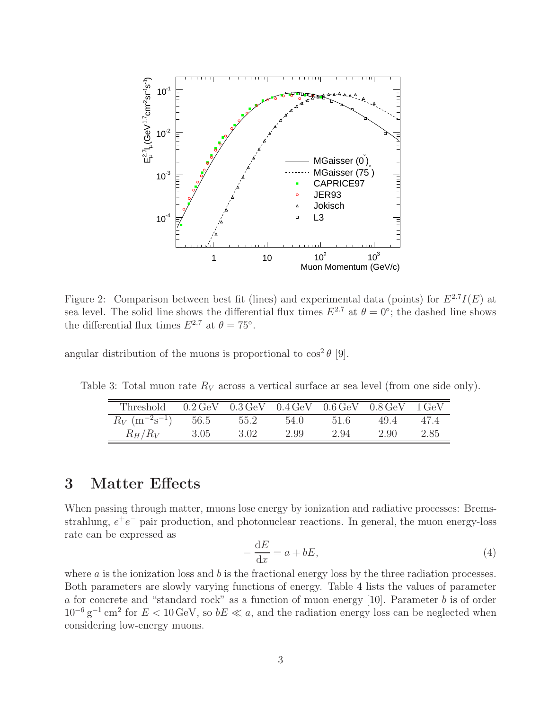

<span id="page-2-0"></span>Figure 2: Comparison between best fit (lines) and experimental data (points) for  $E^{2.7}I(E)$  at sea level. The solid line shows the differential flux times  $E^{2.7}$  at  $\theta = 0^{\circ}$ ; the dashed line shows the differential flux times  $E^{2.7}$  at  $\theta = 75^\circ$ .

angular distribution of the muons is proportional to  $\cos^2 \theta$  [\[9\]](#page-4-8).

<span id="page-2-1"></span>Table 3: Total muon rate  $R_V$  across a vertical surface ar sea level (from one side only).

| Threshold $0.2 \,\text{GeV}$ $0.3 \,\text{GeV}$ $0.4 \,\text{GeV}$ $0.6 \,\text{GeV}$ $0.8 \,\text{GeV}$ $1 \,\text{GeV}$ |      |      |      |      |      |      |
|---------------------------------------------------------------------------------------------------------------------------|------|------|------|------|------|------|
| $R_V$ (m <sup>-2</sup> s <sup>-1</sup> ) 56.5 55.2                                                                        |      |      | 54.0 | 51.6 | 49.4 | 47.4 |
| $R_H/R_V$                                                                                                                 | 3.05 | 3.02 | 2.99 | 2.94 | 2.90 | 2.85 |

### **3 Matter Effects**

When passing through matter, muons lose energy by ionization and radiative processes: Bremsstrahlung,  $e^+e^-$  pair production, and photonuclear reactions. In general, the muon energy-loss rate can be expressed as

$$
-\frac{\mathrm{d}E}{\mathrm{d}x} = a + bE,\tag{4}
$$

where  $\alpha$  is the ionization loss and  $b$  is the fractional energy loss by the three radiation processes. Both parameters are slowly varying functions of energy. Table [4](#page-3-1) lists the values of parameter a for concrete and "standard rock" as a function of muon energy [\[10\]](#page-4-9). Parameter b is of order  $10^{-6}$  g<sup>-1</sup> cm<sup>2</sup> for  $E < 10$  GeV, so  $bE \ll a$ , and the radiation energy loss can be neglected when considering low-energy muons.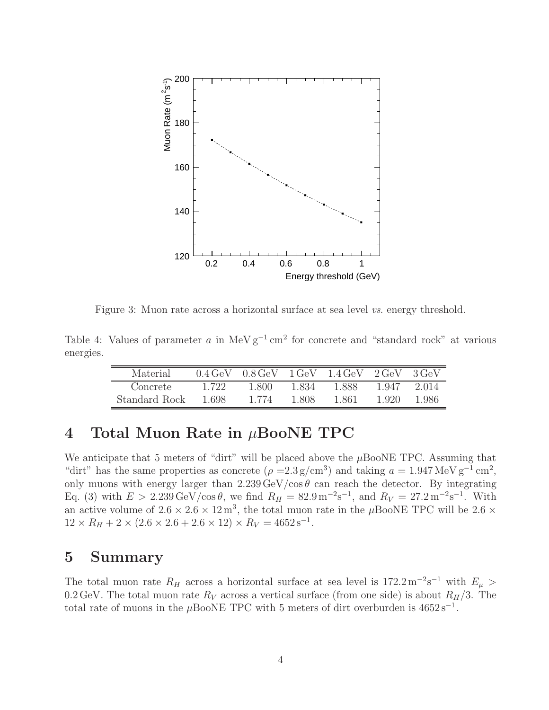

<span id="page-3-0"></span>Figure 3: Muon rate across a horizontal surface at sea level *vs*. energy threshold.

<span id="page-3-1"></span>Table 4: Values of parameter a in MeV  $g^{-1}$  cm<sup>2</sup> for concrete and "standard rock" at various energies.

| Material      | $0.4 \,\mathrm{GeV}$ | $0.8$ GeV |       | $1 \text{GeV}$ $1.4 \text{GeV}$ | $2 \text{GeV}$ | 3 GeV |
|---------------|----------------------|-----------|-------|---------------------------------|----------------|-------|
| Concrete      | 1.722.               | 1.800     | 1.834 | 1.888                           | 1.947          | 2.014 |
| Standard Rock | 1.698                | 1.774     | 1.808 | 1.861                           | 1.920          | 1 986 |

### **4 Total Muon Rate in** μ**BooNE TPC**

We anticipate that 5 meters of "dirt" will be placed above the  $\mu$ BooNE TPC. Assuming that "dirt" has the same properties as concrete ( $\rho = 2.3 \text{ g/cm}^3$ ) and taking  $a = 1.947 \text{ MeV g}^{-1} \text{ cm}^2$ , only muons with energy larger than  $2.239 \,\text{GeV}/\text{cos}\,\theta$  can reach the detector. By integrating Eq. [\(3\)](#page-0-3) with  $E > 2.239 \,\text{GeV}/\text{cos}\,\theta$ , we find  $R_H = 82.9 \,\text{m}^{-2}\text{s}^{-1}$ , and  $R_V = 27.2 \,\text{m}^{-2}\text{s}^{-1}$ . With an active volume of  $2.6 \times 2.6 \times 12 \,\mathrm{m}^3$ , the total muon rate in the  $\mu$ BooNE TPC will be 2.6  $\times$  $12 \times R_H + 2 \times (2.6 \times 2.6 + 2.6 \times 12) \times R_V = 4652 \,\mathrm{s}^{-1}.$ 

#### **5 Summary**

The total muon rate R<sub>H</sub> across a horizontal surface at sea level is 172.2 m<sup>-2</sup>s<sup>-1</sup> with  $E_{\mu}$  > 0.2 GeV. The total muon rate  $R_V$  across a vertical surface (from one side) is about  $R_H/3$ . The total rate of muons in the µBooNE TPC with 5 meters of dirt overburden is  $4652 s^{-1}$ .